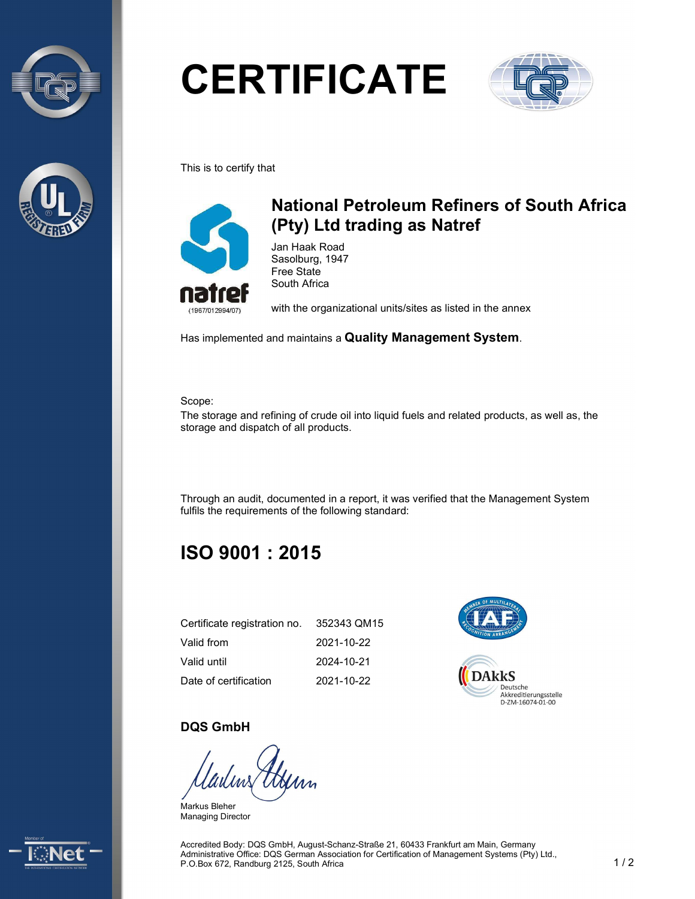



# **CERTIFICATE**



This is to certify that



## National Petroleum Refiners of South Africa (Pty) Ltd trading as Natref

Jan Haak Road Sasolburg, 1947 Free State South Africa

with the organizational units/sites as listed in the annex

Has implemented and maintains a Quality Management System.

Scope:

The storage and refining of crude oil into liquid fuels and related products, as well as, the storage and dispatch of all products.

Through an audit, documented in a report, it was verified that the Management System fulfils the requirements of the following standard:

# ISO 9001 : 2015

| Certificate registration no. | 352343 QM15 |
|------------------------------|-------------|
| Valid from                   | 2021-10-22  |
| Valid until                  | 2024-10-21  |
| Date of certification        | 2021-10-22  |



#### DQS GmbH

Markus Bleher Managing Director



Accredited Body: DQS GmbH, August-Schanz-Straße 21, 60433 Frankfurt am Main, Germany Administrative Office: DQS German Association for Certification of Management Systems (Pty) Ltd., P.O.Box 672, Randburg 2125, South Africa 1 / 2